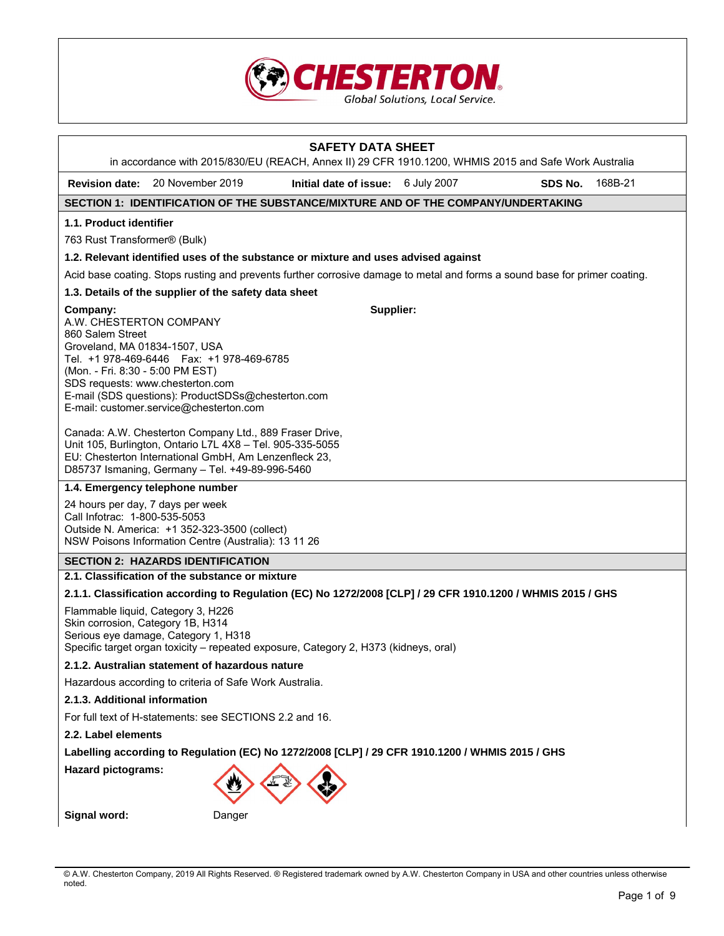

|                                                                                                                                                                                                                                                                                                                                                                                                                                                                                                                                                                                                       | in accordance with 2015/830/EU (REACH, Annex II) 29 CFR 1910.1200, WHMIS 2015 and Safe Work Australia                      | <b>SAFETY DATA SHEET</b>           |  |         |         |  |
|-------------------------------------------------------------------------------------------------------------------------------------------------------------------------------------------------------------------------------------------------------------------------------------------------------------------------------------------------------------------------------------------------------------------------------------------------------------------------------------------------------------------------------------------------------------------------------------------------------|----------------------------------------------------------------------------------------------------------------------------|------------------------------------|--|---------|---------|--|
|                                                                                                                                                                                                                                                                                                                                                                                                                                                                                                                                                                                                       | Revision date: 20 November 2019                                                                                            | Initial date of issue: 6 July 2007 |  | SDS No. | 168B-21 |  |
|                                                                                                                                                                                                                                                                                                                                                                                                                                                                                                                                                                                                       | SECTION 1: IDENTIFICATION OF THE SUBSTANCE/MIXTURE AND OF THE COMPANY/UNDERTAKING                                          |                                    |  |         |         |  |
| 1.1. Product identifier                                                                                                                                                                                                                                                                                                                                                                                                                                                                                                                                                                               |                                                                                                                            |                                    |  |         |         |  |
| 763 Rust Transformer® (Bulk)                                                                                                                                                                                                                                                                                                                                                                                                                                                                                                                                                                          |                                                                                                                            |                                    |  |         |         |  |
|                                                                                                                                                                                                                                                                                                                                                                                                                                                                                                                                                                                                       | 1.2. Relevant identified uses of the substance or mixture and uses advised against                                         |                                    |  |         |         |  |
|                                                                                                                                                                                                                                                                                                                                                                                                                                                                                                                                                                                                       | Acid base coating. Stops rusting and prevents further corrosive damage to metal and forms a sound base for primer coating. |                                    |  |         |         |  |
|                                                                                                                                                                                                                                                                                                                                                                                                                                                                                                                                                                                                       | 1.3. Details of the supplier of the safety data sheet                                                                      |                                    |  |         |         |  |
| Supplier:<br>Company:<br>A.W. CHESTERTON COMPANY<br>860 Salem Street<br>Groveland, MA 01834-1507, USA<br>Tel. +1 978-469-6446    Fax: +1 978-469-6785<br>(Mon. - Fri. 8:30 - 5:00 PM EST)<br>SDS requests: www.chesterton.com<br>E-mail (SDS questions): ProductSDSs@chesterton.com<br>E-mail: customer.service@chesterton.com<br>Canada: A.W. Chesterton Company Ltd., 889 Fraser Drive,<br>Unit 105, Burlington, Ontario L7L 4X8 - Tel. 905-335-5055<br>EU: Chesterton International GmbH, Am Lenzenfleck 23,<br>D85737 Ismaning, Germany - Tel. +49-89-996-5460<br>1.4. Emergency telephone number |                                                                                                                            |                                    |  |         |         |  |
| 24 hours per day, 7 days per week<br>Call Infotrac: 1-800-535-5053<br>Outside N. America: +1 352-323-3500 (collect)<br>NSW Poisons Information Centre (Australia): 13 11 26                                                                                                                                                                                                                                                                                                                                                                                                                           |                                                                                                                            |                                    |  |         |         |  |
|                                                                                                                                                                                                                                                                                                                                                                                                                                                                                                                                                                                                       | <b>SECTION 2: HAZARDS IDENTIFICATION</b>                                                                                   |                                    |  |         |         |  |
|                                                                                                                                                                                                                                                                                                                                                                                                                                                                                                                                                                                                       | 2.1. Classification of the substance or mixture                                                                            |                                    |  |         |         |  |
|                                                                                                                                                                                                                                                                                                                                                                                                                                                                                                                                                                                                       | 2.1.1. Classification according to Regulation (EC) No 1272/2008 [CLP] / 29 CFR 1910.1200 / WHMIS 2015 / GHS                |                                    |  |         |         |  |
| Flammable liquid, Category 3, H226<br>Skin corrosion, Category 1B, H314<br>Serious eye damage, Category 1, H318<br>Specific target organ toxicity – repeated exposure, Category 2, H373 (kidneys, oral)                                                                                                                                                                                                                                                                                                                                                                                               |                                                                                                                            |                                    |  |         |         |  |
|                                                                                                                                                                                                                                                                                                                                                                                                                                                                                                                                                                                                       | 2.1.2. Australian statement of hazardous nature                                                                            |                                    |  |         |         |  |
|                                                                                                                                                                                                                                                                                                                                                                                                                                                                                                                                                                                                       | Hazardous according to criteria of Safe Work Australia.                                                                    |                                    |  |         |         |  |
|                                                                                                                                                                                                                                                                                                                                                                                                                                                                                                                                                                                                       | 2.1.3. Additional information                                                                                              |                                    |  |         |         |  |
|                                                                                                                                                                                                                                                                                                                                                                                                                                                                                                                                                                                                       | For full text of H-statements: see SECTIONS 2.2 and 16.                                                                    |                                    |  |         |         |  |
| 2.2. Label elements                                                                                                                                                                                                                                                                                                                                                                                                                                                                                                                                                                                   |                                                                                                                            |                                    |  |         |         |  |
|                                                                                                                                                                                                                                                                                                                                                                                                                                                                                                                                                                                                       | Labelling according to Regulation (EC) No 1272/2008 [CLP] / 29 CFR 1910.1200 / WHMIS 2015 / GHS                            |                                    |  |         |         |  |
| <b>Hazard pictograms:</b>                                                                                                                                                                                                                                                                                                                                                                                                                                                                                                                                                                             |                                                                                                                            |                                    |  |         |         |  |
| Signal word:                                                                                                                                                                                                                                                                                                                                                                                                                                                                                                                                                                                          | Danger                                                                                                                     |                                    |  |         |         |  |

<sup>©</sup> A.W. Chesterton Company, 2019 All Rights Reserved. ® Registered trademark owned by A.W. Chesterton Company in USA and other countries unless otherwise noted.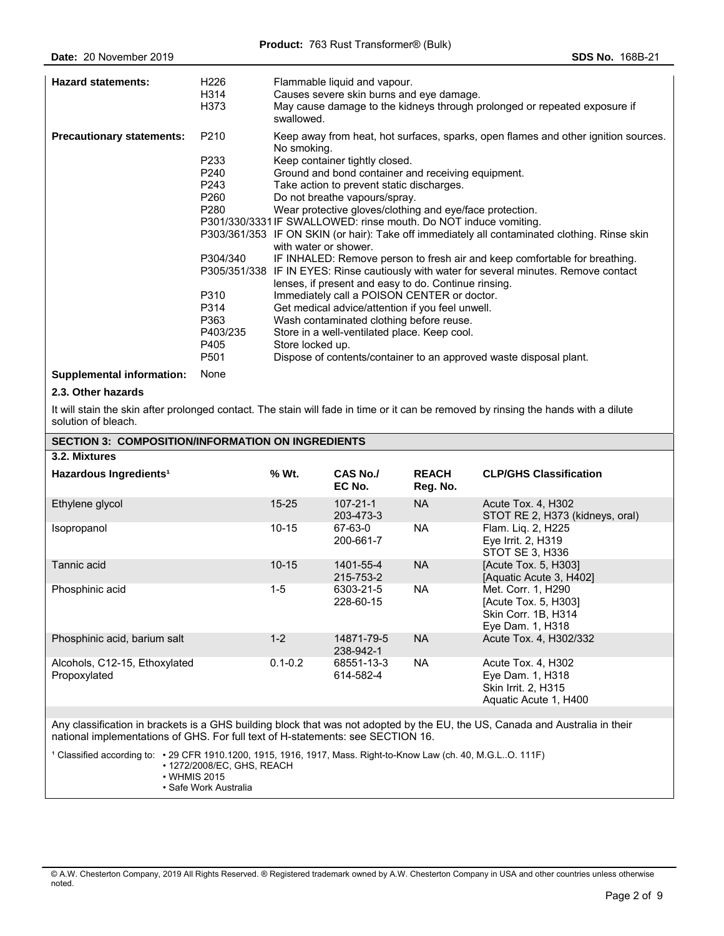| <b>Hazard statements:</b>        | H226<br>H314<br>H373                                                                                                     | Flammable liquid and vapour.<br>Causes severe skin burns and eye damage.<br>May cause damage to the kidneys through prolonged or repeated exposure if<br>swallowed.                                                                                                                                                                                                                                                                                                                                                                                                                                                                                                                                                                                                                                                                                                                                                                                                                                                                                          |
|----------------------------------|--------------------------------------------------------------------------------------------------------------------------|--------------------------------------------------------------------------------------------------------------------------------------------------------------------------------------------------------------------------------------------------------------------------------------------------------------------------------------------------------------------------------------------------------------------------------------------------------------------------------------------------------------------------------------------------------------------------------------------------------------------------------------------------------------------------------------------------------------------------------------------------------------------------------------------------------------------------------------------------------------------------------------------------------------------------------------------------------------------------------------------------------------------------------------------------------------|
| <b>Precautionary statements:</b> | P <sub>210</sub><br>P233<br>P240<br>P243<br>P260<br>P280<br>P304/340<br>P310<br>P314<br>P363<br>P403/235<br>P405<br>P501 | Keep away from heat, hot surfaces, sparks, open flames and other ignition sources.<br>No smoking.<br>Keep container tightly closed.<br>Ground and bond container and receiving equipment.<br>Take action to prevent static discharges.<br>Do not breathe vapours/spray.<br>Wear protective gloves/clothing and eye/face protection.<br>P301/330/3331 IF SWALLOWED: rinse mouth. Do NOT induce vomiting.<br>P303/361/353 IF ON SKIN (or hair): Take off immediately all contaminated clothing. Rinse skin<br>with water or shower.<br>IF INHALED: Remove person to fresh air and keep comfortable for breathing.<br>P305/351/338 IF IN EYES: Rinse cautiously with water for several minutes. Remove contact<br>lenses, if present and easy to do. Continue rinsing.<br>Immediately call a POISON CENTER or doctor.<br>Get medical advice/attention if you feel unwell.<br>Wash contaminated clothing before reuse.<br>Store in a well-ventilated place. Keep cool.<br>Store locked up.<br>Dispose of contents/container to an approved waste disposal plant. |
| <b>Supplemental information:</b> | None                                                                                                                     |                                                                                                                                                                                                                                                                                                                                                                                                                                                                                                                                                                                                                                                                                                                                                                                                                                                                                                                                                                                                                                                              |

#### **2.3. Other hazards**

It will stain the skin after prolonged contact. The stain will fade in time or it can be removed by rinsing the hands with a dilute solution of bleach.

| <b>SECTION 3: COMPOSITION/INFORMATION ON INGREDIENTS</b> |             |                             |                          |                                                                                        |  |
|----------------------------------------------------------|-------------|-----------------------------|--------------------------|----------------------------------------------------------------------------------------|--|
| 3.2. Mixtures                                            |             |                             |                          |                                                                                        |  |
| Hazardous Ingredients <sup>1</sup>                       | % Wt.       | CAS No./<br>EC No.          | <b>REACH</b><br>Reg. No. | <b>CLP/GHS Classification</b>                                                          |  |
| Ethylene glycol                                          | $15 - 25$   | $107 - 21 - 1$<br>203-473-3 | <b>NA</b>                | Acute Tox. 4, H302<br>STOT RE 2, H373 (kidneys, oral)                                  |  |
| Isopropanol                                              | $10 - 15$   | 67-63-0<br>200-661-7        | NA.                      | Flam. Liq. 2, H225<br>Eye Irrit. 2, H319<br>STOT SE 3, H336                            |  |
| Tannic acid                                              | $10 - 15$   | 1401-55-4<br>215-753-2      | <b>NA</b>                | [Acute Tox. 5, H303]<br>[Aquatic Acute 3, H402]                                        |  |
| Phosphinic acid                                          | $1-5$       | 6303-21-5<br>228-60-15      | NA.                      | Met. Corr. 1, H290<br>[Acute Tox. 5, H303]<br>Skin Corr. 1B, H314<br>Eye Dam. 1, H318  |  |
| Phosphinic acid, barium salt                             | $1 - 2$     | 14871-79-5<br>238-942-1     | <b>NA</b>                | Acute Tox. 4, H302/332                                                                 |  |
| Alcohols, C12-15, Ethoxylated<br>Propoxylated            | $0.1 - 0.2$ | 68551-13-3<br>614-582-4     | NA.                      | Acute Tox. 4, H302<br>Eye Dam. 1, H318<br>Skin Irrit. 2, H315<br>Aquatic Acute 1, H400 |  |
|                                                          |             |                             |                          |                                                                                        |  |

Any classification in brackets is a GHS building block that was not adopted by the EU, the US, Canada and Australia in their national implementations of GHS. For full text of H-statements: see SECTION 16.

1 Classified according to: • 29 CFR 1910.1200, 1915, 1916, 1917, Mass. Right-to-Know Law (ch. 40, M.G.L..O. 111F) • 1272/2008/EC, GHS, REACH

- WHMIS 2015
- Safe Work Australia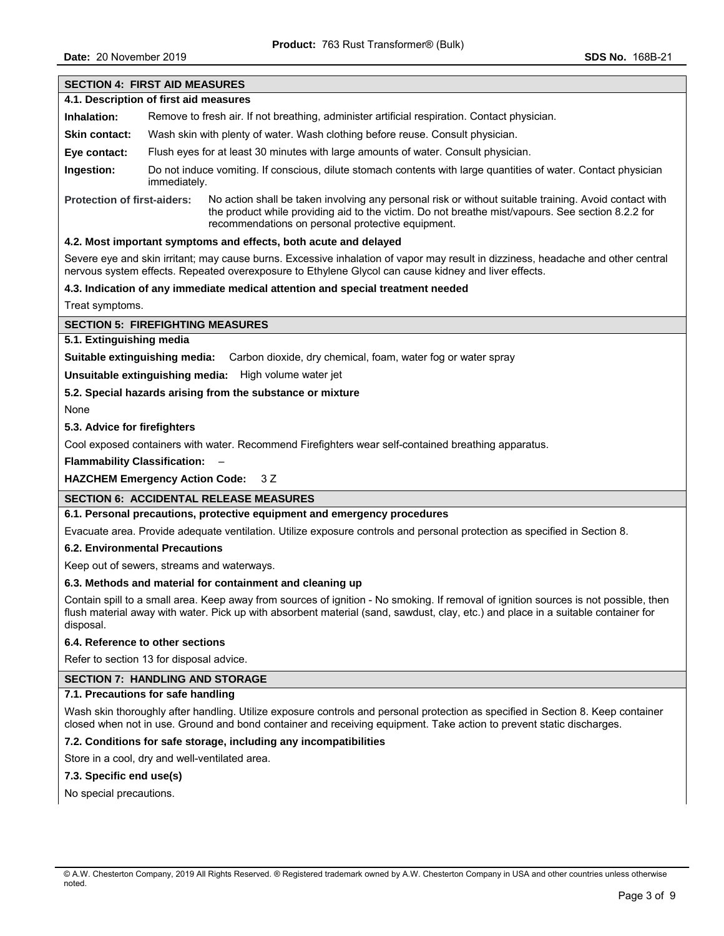## **SECTION 4: FIRST AID MEASURES 4.1. Description of first aid measures Inhalation:** Remove to fresh air. If not breathing, administer artificial respiration. Contact physician. **Skin contact:** Wash skin with plenty of water. Wash clothing before reuse. Consult physician. **Eye contact:** Flush eyes for at least 30 minutes with large amounts of water. Consult physician. **Ingestion:** Do not induce vomiting. If conscious, dilute stomach contents with large quantities of water. Contact physician immediately. **Protection of first-aiders:** No action shall be taken involving any personal risk or without suitable training. Avoid contact with the product while providing aid to the victim. Do not breathe mist/vapours. See section 8.2.2 for recommendations on personal protective equipment. **4.2. Most important symptoms and effects, both acute and delayed**  Severe eye and skin irritant; may cause burns. Excessive inhalation of vapor may result in dizziness, headache and other central

nervous system effects. Repeated overexposure to Ethylene Glycol can cause kidney and liver effects.

## **4.3. Indication of any immediate medical attention and special treatment needed**

Treat symptoms.

## **SECTION 5: FIREFIGHTING MEASURES**

# **5.1. Extinguishing media**

**Suitable extinguishing media:** Carbon dioxide, dry chemical, foam, water fog or water spray

**Unsuitable extinguishing media:** High volume water jet

## **5.2. Special hazards arising from the substance or mixture**

None

### **5.3. Advice for firefighters**

Cool exposed containers with water. Recommend Firefighters wear self-contained breathing apparatus.

**Flammability Classification:** –

## **HAZCHEM Emergency Action Code:** 3 Z

## **SECTION 6: ACCIDENTAL RELEASE MEASURES**

## **6.1. Personal precautions, protective equipment and emergency procedures**

Evacuate area. Provide adequate ventilation. Utilize exposure controls and personal protection as specified in Section 8.

#### **6.2. Environmental Precautions**

Keep out of sewers, streams and waterways.

## **6.3. Methods and material for containment and cleaning up**

Contain spill to a small area. Keep away from sources of ignition - No smoking. If removal of ignition sources is not possible, then flush material away with water. Pick up with absorbent material (sand, sawdust, clay, etc.) and place in a suitable container for disposal.

#### **6.4. Reference to other sections**

Refer to section 13 for disposal advice.

## **SECTION 7: HANDLING AND STORAGE**

#### **7.1. Precautions for safe handling**

Wash skin thoroughly after handling. Utilize exposure controls and personal protection as specified in Section 8. Keep container closed when not in use. Ground and bond container and receiving equipment. Take action to prevent static discharges.

## **7.2. Conditions for safe storage, including any incompatibilities**

Store in a cool, dry and well-ventilated area.

#### **7.3. Specific end use(s)**

No special precautions.

<sup>©</sup> A.W. Chesterton Company, 2019 All Rights Reserved. ® Registered trademark owned by A.W. Chesterton Company in USA and other countries unless otherwise noted.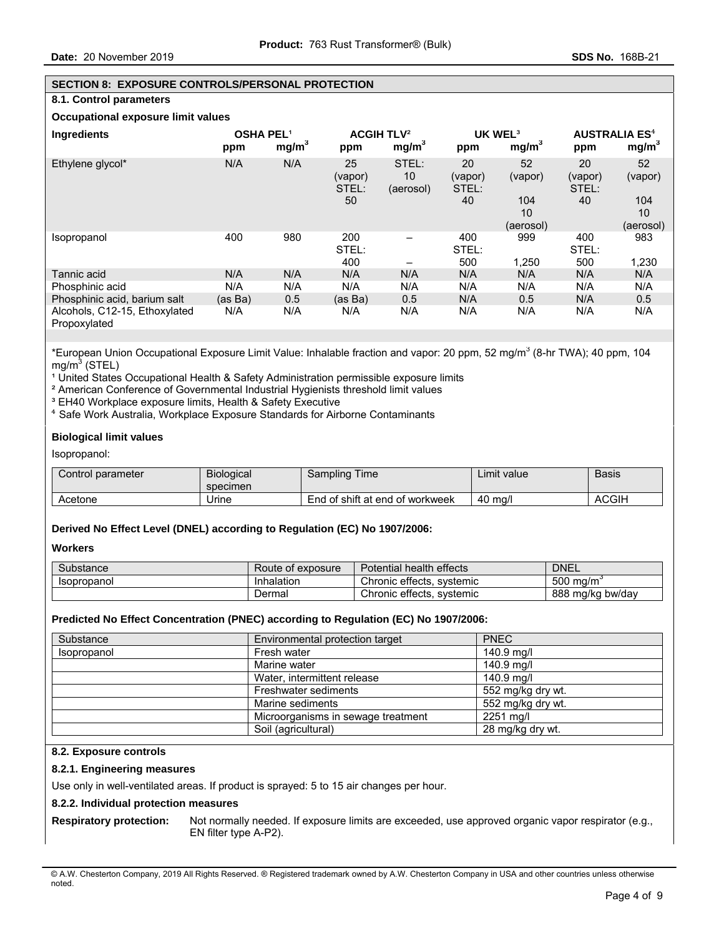### **SECTION 8: EXPOSURE CONTROLS/PERSONAL PROTECTION**

### **8.1. Control parameters**

## **Occupational exposure limit values**

| Ingredients                                   | <b>OSHA PEL1</b><br>ppm | mg/m <sup>3</sup> | <b>ACGIH TLV<sup>2</sup></b><br>ppm | mg/m <sup>3</sup>        | UK WEL <sup>3</sup><br>ppm | mg/m <sup>3</sup> | <b>AUSTRALIA ES<sup>4</sup></b><br>ppm | mg/m <sup>3</sup> |
|-----------------------------------------------|-------------------------|-------------------|-------------------------------------|--------------------------|----------------------------|-------------------|----------------------------------------|-------------------|
| Ethylene glycol*                              | N/A                     | N/A               | 25<br>(vapor)<br>STEL:              | STEL:<br>10<br>(aerosol) | 20<br>(vapor)<br>STEL:     | 52<br>(vapor)     | 20<br>(vapor)<br>STEL:                 | 52<br>(vapor)     |
|                                               |                         |                   | 50                                  |                          | 40                         | 104<br>10         | 40                                     | 104<br>10         |
|                                               |                         |                   |                                     |                          |                            | (aerosol)         |                                        | (aerosol)         |
| Isopropanol                                   | 400                     | 980               | 200<br>STEL:                        |                          | 400<br>STEL:               | 999               | 400<br>STEL:                           | 983               |
|                                               |                         |                   | 400                                 |                          | 500                        | 1,250             | 500                                    | 1,230             |
| Tannic acid                                   | N/A                     | N/A               | N/A                                 | N/A                      | N/A                        | N/A               | N/A                                    | N/A               |
| Phosphinic acid                               | N/A                     | N/A               | N/A                                 | N/A                      | N/A                        | N/A               | N/A                                    | N/A               |
| Phosphinic acid, barium salt                  | (as Ba)                 | 0.5               | (as Ba)                             | 0.5                      | N/A                        | 0.5               | N/A                                    | 0.5               |
| Alcohols, C12-15, Ethoxylated<br>Propoxylated | N/A                     | N/A               | N/A                                 | N/A                      | N/A                        | N/A               | N/A                                    | N/A               |

\*European Union Occupational Exposure Limit Value: Inhalable fraction and vapor: 20 ppm, 52 mg/m<sup>3</sup> (8-hr TWA); 40 ppm, 104 mg/m $^3$  (STEL)

<sup>1</sup> United States Occupational Health & Safety Administration permissible exposure limits

² American Conference of Governmental Industrial Hygienists threshold limit values

<sup>3</sup> EH40 Workplace exposure limits, Health & Safety Executive

⁴ Safe Work Australia, Workplace Exposure Standards for Airborne Contaminants

#### **Biological limit values**

#### Isopropanol:

| Control parameter | <b>Biological</b><br>specimen | Sampling Time                   | ∟imit value | <b>Basis</b> |
|-------------------|-------------------------------|---------------------------------|-------------|--------------|
| Acetone           | Urine                         | End of shift at end of workweek | 40 ma/l     | ACGIH        |

#### **Derived No Effect Level (DNEL) according to Regulation (EC) No 1907/2006:**

#### **Workers**

| Substance          | Route of exposure | I health effects<br><b>Potential</b> | <b>DNEL</b>            |
|--------------------|-------------------|--------------------------------------|------------------------|
| <b>Isopropanol</b> | Inhalation        | Chronic effects, systemic            | 500<br>∕ ma/m`         |
|                    | Dermal            | Chronic effects.<br>. svstemic       | 888<br>bw/dav<br>ma/ka |

#### **Predicted No Effect Concentration (PNEC) according to Regulation (EC) No 1907/2006:**

| Substance   | Environmental protection target    | <b>PNEC</b>       |
|-------------|------------------------------------|-------------------|
| Isopropanol | Fresh water                        | 140.9 mg/l        |
|             | Marine water                       | 140.9 mg/l        |
|             | Water, intermittent release        | 140.9 mg/l        |
|             | Freshwater sediments               | 552 mg/kg dry wt. |
|             | Marine sediments                   | 552 mg/kg dry wt. |
|             | Microorganisms in sewage treatment | 2251 mg/l         |
|             | Soil (agricultural)                | 28 mg/kg dry wt.  |

#### **8.2. Exposure controls**

#### **8.2.1. Engineering measures**

Use only in well-ventilated areas. If product is sprayed: 5 to 15 air changes per hour.

#### **8.2.2. Individual protection measures**

**Respiratory protection:** Not normally needed. If exposure limits are exceeded, use approved organic vapor respirator (e.g., EN filter type A-P2).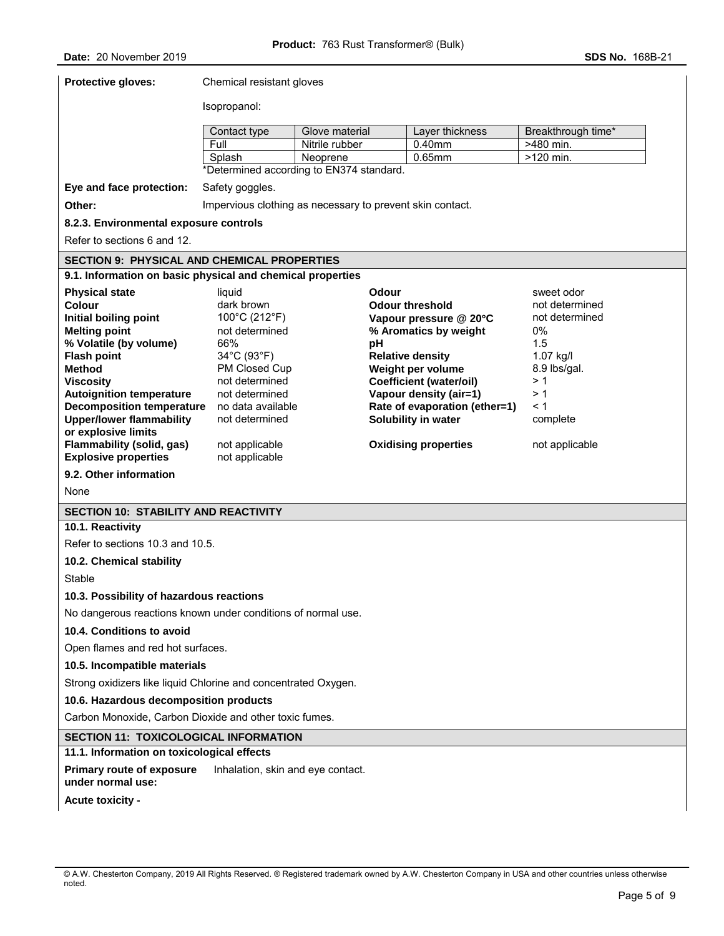| Protective gloves:                                                                         | Chemical resistant gloves        |                                          |                                                           |                    |  |  |
|--------------------------------------------------------------------------------------------|----------------------------------|------------------------------------------|-----------------------------------------------------------|--------------------|--|--|
|                                                                                            | Isopropanol:                     |                                          |                                                           |                    |  |  |
|                                                                                            | Contact type                     | Glove material                           | Layer thickness                                           | Breakthrough time* |  |  |
|                                                                                            | Full                             | Nitrile rubber                           | 0.40mm                                                    | >480 min.          |  |  |
|                                                                                            | Splash                           | Neoprene                                 | $0.65$ mm                                                 | >120 min.          |  |  |
|                                                                                            |                                  | *Determined according to EN374 standard. |                                                           |                    |  |  |
| Eye and face protection:                                                                   | Safety goggles.                  |                                          |                                                           |                    |  |  |
| Other:                                                                                     |                                  |                                          | Impervious clothing as necessary to prevent skin contact. |                    |  |  |
| 8.2.3. Environmental exposure controls                                                     |                                  |                                          |                                                           |                    |  |  |
| Refer to sections 6 and 12.                                                                |                                  |                                          |                                                           |                    |  |  |
| <b>SECTION 9: PHYSICAL AND CHEMICAL PROPERTIES</b>                                         |                                  |                                          |                                                           |                    |  |  |
| 9.1. Information on basic physical and chemical properties                                 |                                  |                                          |                                                           |                    |  |  |
| <b>Physical state</b>                                                                      | liquid                           |                                          | Odour                                                     | sweet odor         |  |  |
| Colour                                                                                     | dark brown                       |                                          | <b>Odour threshold</b>                                    | not determined     |  |  |
| Initial boiling point                                                                      | 100°C (212°F)                    |                                          | Vapour pressure @ 20°C                                    | not determined     |  |  |
| <b>Melting point</b>                                                                       | not determined                   |                                          | % Aromatics by weight                                     | 0%                 |  |  |
| % Volatile (by volume)                                                                     | 66%                              | рH                                       |                                                           | 1.5                |  |  |
| <b>Flash point</b>                                                                         | 34°C (93°F)                      |                                          | <b>Relative density</b>                                   | 1.07 kg/l          |  |  |
| <b>Method</b>                                                                              | PM Closed Cup                    |                                          | Weight per volume<br><b>Coefficient (water/oil)</b>       | 8.9 lbs/gal.<br>>1 |  |  |
| <b>Viscosity</b><br><b>Autoignition temperature</b>                                        | not determined<br>not determined |                                          | Vapour density (air=1)                                    | > 1                |  |  |
| <b>Decomposition temperature</b>                                                           | no data available                |                                          | Rate of evaporation (ether=1)                             | < 1                |  |  |
| <b>Upper/lower flammability</b>                                                            | not determined                   |                                          | Solubility in water                                       | complete           |  |  |
| or explosive limits                                                                        |                                  |                                          |                                                           |                    |  |  |
| <b>Flammability (solid, gas)</b>                                                           | not applicable                   |                                          | <b>Oxidising properties</b>                               | not applicable     |  |  |
| <b>Explosive properties</b>                                                                | not applicable                   |                                          |                                                           |                    |  |  |
| 9.2. Other information                                                                     |                                  |                                          |                                                           |                    |  |  |
| None                                                                                       |                                  |                                          |                                                           |                    |  |  |
| <b>SECTION 10: STABILITY AND REACTIVITY</b>                                                |                                  |                                          |                                                           |                    |  |  |
| 10.1. Reactivity                                                                           |                                  |                                          |                                                           |                    |  |  |
| Refer to sections 10.3 and 10.5.                                                           |                                  |                                          |                                                           |                    |  |  |
| 10.2. Chemical stability                                                                   |                                  |                                          |                                                           |                    |  |  |
| Stable                                                                                     |                                  |                                          |                                                           |                    |  |  |
| 10.3. Possibility of hazardous reactions                                                   |                                  |                                          |                                                           |                    |  |  |
| No dangerous reactions known under conditions of normal use.                               |                                  |                                          |                                                           |                    |  |  |
| 10.4. Conditions to avoid                                                                  |                                  |                                          |                                                           |                    |  |  |
| Open flames and red hot surfaces.                                                          |                                  |                                          |                                                           |                    |  |  |
| 10.5. Incompatible materials                                                               |                                  |                                          |                                                           |                    |  |  |
| Strong oxidizers like liquid Chlorine and concentrated Oxygen.                             |                                  |                                          |                                                           |                    |  |  |
| 10.6. Hazardous decomposition products                                                     |                                  |                                          |                                                           |                    |  |  |
| Carbon Monoxide, Carbon Dioxide and other toxic fumes.                                     |                                  |                                          |                                                           |                    |  |  |
| <b>SECTION 11: TOXICOLOGICAL INFORMATION</b>                                               |                                  |                                          |                                                           |                    |  |  |
| 11.1. Information on toxicological effects                                                 |                                  |                                          |                                                           |                    |  |  |
| <b>Primary route of exposure</b><br>Inhalation, skin and eye contact.<br>under normal use: |                                  |                                          |                                                           |                    |  |  |
| Acute toxicity -                                                                           |                                  |                                          |                                                           |                    |  |  |
|                                                                                            |                                  |                                          |                                                           |                    |  |  |

<sup>©</sup> A.W. Chesterton Company, 2019 All Rights Reserved. ® Registered trademark owned by A.W. Chesterton Company in USA and other countries unless otherwise noted.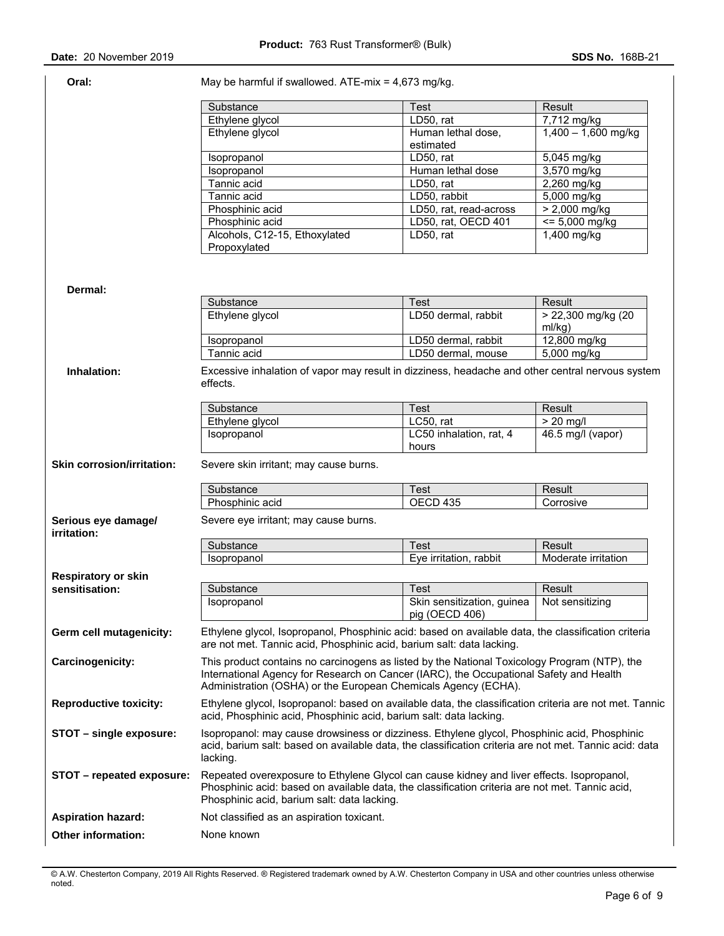| Oral:                              | May be harmful if swallowed. ATE-mix = $4,673$ mg/kg.                                                                                                                                                                                                    |                                              |                              |  |  |  |
|------------------------------------|----------------------------------------------------------------------------------------------------------------------------------------------------------------------------------------------------------------------------------------------------------|----------------------------------------------|------------------------------|--|--|--|
|                                    | Substance                                                                                                                                                                                                                                                | <b>Test</b>                                  | Result                       |  |  |  |
|                                    | Ethylene glycol                                                                                                                                                                                                                                          | LD50, rat                                    | 7,712 mg/kg                  |  |  |  |
|                                    | Ethylene glycol                                                                                                                                                                                                                                          | Human lethal dose,<br>estimated              | $1,400 - 1,600$ mg/kg        |  |  |  |
|                                    | Isopropanol                                                                                                                                                                                                                                              | LD50, rat                                    | 5,045 mg/kg                  |  |  |  |
|                                    | Isopropanol                                                                                                                                                                                                                                              | Human lethal dose                            | 3,570 mg/kg                  |  |  |  |
|                                    | Tannic acid                                                                                                                                                                                                                                              | LD50, rat                                    | 2,260 mg/kg                  |  |  |  |
|                                    | Tannic acid                                                                                                                                                                                                                                              | LD50, rabbit                                 | 5,000 mg/kg                  |  |  |  |
|                                    | Phosphinic acid                                                                                                                                                                                                                                          | LD50, rat, read-across                       | > 2,000 mg/kg                |  |  |  |
|                                    | Phosphinic acid                                                                                                                                                                                                                                          | LD50, rat, OECD 401                          | $= 5,000$ mg/kg              |  |  |  |
|                                    | Alcohols, C12-15, Ethoxylated<br>Propoxylated                                                                                                                                                                                                            | LD50, rat                                    | $1,400$ mg/kg                |  |  |  |
| Dermal:                            |                                                                                                                                                                                                                                                          |                                              |                              |  |  |  |
|                                    | Substance                                                                                                                                                                                                                                                | <b>Test</b>                                  | Result                       |  |  |  |
|                                    | Ethylene glycol                                                                                                                                                                                                                                          | LD50 dermal, rabbit                          | > 22,300 mg/kg (20<br>ml/kg) |  |  |  |
|                                    | Isopropanol                                                                                                                                                                                                                                              | LD50 dermal, rabbit                          | 12,800 mg/kg                 |  |  |  |
|                                    | Tannic acid                                                                                                                                                                                                                                              | LD50 dermal, mouse                           | 5,000 mg/kg                  |  |  |  |
|                                    | effects.<br>Substance                                                                                                                                                                                                                                    | <b>Test</b>                                  | Result                       |  |  |  |
|                                    | Ethylene glycol                                                                                                                                                                                                                                          | LC50, rat                                    | $> 20$ mg/l                  |  |  |  |
|                                    | Isopropanol                                                                                                                                                                                                                                              | LC50 inhalation, rat, 4<br>hours             | 46.5 mg/l (vapor)            |  |  |  |
| <b>Skin corrosion/irritation:</b>  | Severe skin irritant; may cause burns.                                                                                                                                                                                                                   |                                              |                              |  |  |  |
|                                    | Substance                                                                                                                                                                                                                                                | Test                                         | Result                       |  |  |  |
|                                    | Phosphinic acid                                                                                                                                                                                                                                          | OECD 435                                     | Corrosive                    |  |  |  |
| Serious eye damage/<br>irritation: | Severe eye irritant; may cause burns.                                                                                                                                                                                                                    |                                              |                              |  |  |  |
|                                    | Substance                                                                                                                                                                                                                                                | <b>Test</b>                                  | Result                       |  |  |  |
|                                    | Isopropanol                                                                                                                                                                                                                                              | Eye irritation, rabbit                       | Moderate irritation          |  |  |  |
|                                    |                                                                                                                                                                                                                                                          |                                              |                              |  |  |  |
| <b>Respiratory or skin</b>         |                                                                                                                                                                                                                                                          |                                              |                              |  |  |  |
| sensitisation:                     | Substance                                                                                                                                                                                                                                                | Test                                         | Result                       |  |  |  |
|                                    | Isopropanol                                                                                                                                                                                                                                              | Skin sensitization, guinea<br>pig (OECD 406) | Not sensitizing              |  |  |  |
| Germ cell mutagenicity:            | Ethylene glycol, Isopropanol, Phosphinic acid: based on available data, the classification criteria<br>are not met. Tannic acid, Phosphinic acid, barium salt: data lacking.                                                                             |                                              |                              |  |  |  |
| Carcinogenicity:                   | This product contains no carcinogens as listed by the National Toxicology Program (NTP), the<br>International Agency for Research on Cancer (IARC), the Occupational Safety and Health<br>Administration (OSHA) or the European Chemicals Agency (ECHA). |                                              |                              |  |  |  |
| <b>Reproductive toxicity:</b>      | Ethylene glycol, Isopropanol: based on available data, the classification criteria are not met. Tannic<br>acid, Phosphinic acid, Phosphinic acid, barium salt: data lacking.                                                                             |                                              |                              |  |  |  |
| STOT – single exposure:            | Isopropanol: may cause drowsiness or dizziness. Ethylene glycol, Phosphinic acid, Phosphinic<br>acid, barium salt: based on available data, the classification criteria are not met. Tannic acid: data<br>lacking.                                       |                                              |                              |  |  |  |
| STOT - repeated exposure:          | Repeated overexposure to Ethylene Glycol can cause kidney and liver effects. Isopropanol,<br>Phosphinic acid: based on available data, the classification criteria are not met. Tannic acid,<br>Phosphinic acid, barium salt: data lacking.              |                                              |                              |  |  |  |
| <b>Aspiration hazard:</b>          | Not classified as an aspiration toxicant.                                                                                                                                                                                                                |                                              |                              |  |  |  |
| Other information:                 | None known                                                                                                                                                                                                                                               |                                              |                              |  |  |  |
|                                    |                                                                                                                                                                                                                                                          |                                              |                              |  |  |  |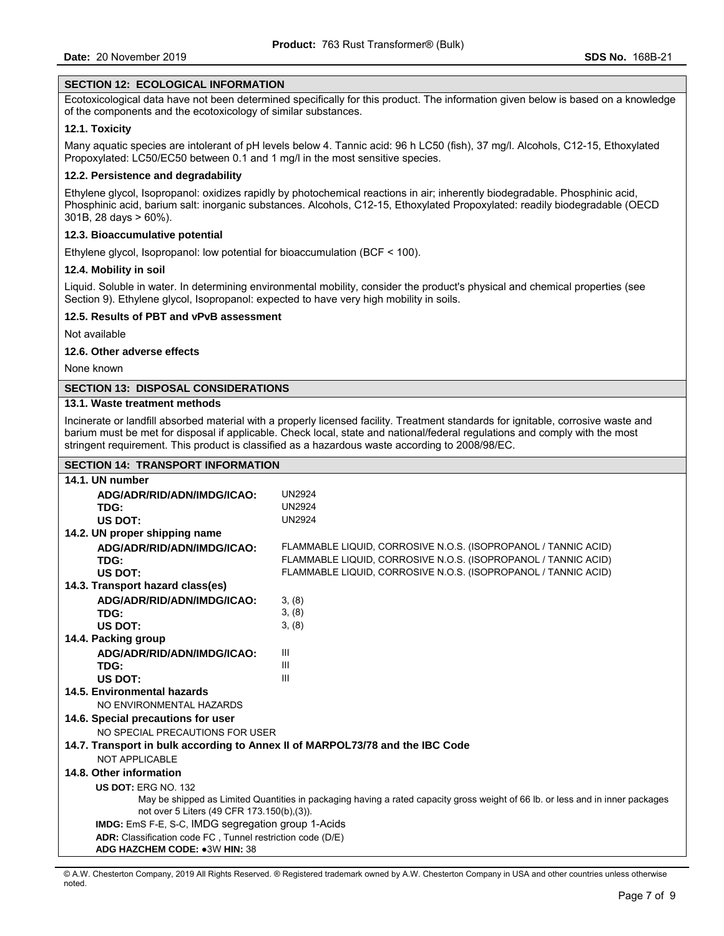### **SECTION 12: ECOLOGICAL INFORMATION**

Ecotoxicological data have not been determined specifically for this product. The information given below is based on a knowledge of the components and the ecotoxicology of similar substances.

#### **12.1. Toxicity**

Many aquatic species are intolerant of pH levels below 4. Tannic acid: 96 h LC50 (fish), 37 mg/l. Alcohols, C12-15, Ethoxylated Propoxylated: LC50/EC50 between 0.1 and 1 mg/l in the most sensitive species.

#### **12.2. Persistence and degradability**

Ethylene glycol, Isopropanol: oxidizes rapidly by photochemical reactions in air; inherently biodegradable. Phosphinic acid, Phosphinic acid, barium salt: inorganic substances. Alcohols, C12-15, Ethoxylated Propoxylated: readily biodegradable (OECD 301B, 28 days > 60%).

#### **12.3. Bioaccumulative potential**

Ethylene glycol, Isopropanol: low potential for bioaccumulation (BCF < 100).

#### **12.4. Mobility in soil**

Liquid. Soluble in water. In determining environmental mobility, consider the product's physical and chemical properties (see Section 9). Ethylene glycol, Isopropanol: expected to have very high mobility in soils.

#### **12.5. Results of PBT and vPvB assessment**

Not available

#### **12.6. Other adverse effects**

None known

#### **SECTION 13: DISPOSAL CONSIDERATIONS**

## **13.1. Waste treatment methods**

Incinerate or landfill absorbed material with a properly licensed facility. Treatment standards for ignitable, corrosive waste and barium must be met for disposal if applicable. Check local, state and national/federal regulations and comply with the most stringent requirement. This product is classified as a hazardous waste according to 2008/98/EC.

#### **SECTION 14: TRANSPORT INFORMATION**

| 14.1. UN number                                                                                                                |                                                                |  |  |  |  |
|--------------------------------------------------------------------------------------------------------------------------------|----------------------------------------------------------------|--|--|--|--|
| ADG/ADR/RID/ADN/IMDG/ICAO:                                                                                                     | <b>UN2924</b>                                                  |  |  |  |  |
| TDG:                                                                                                                           | <b>UN2924</b>                                                  |  |  |  |  |
| US DOT:                                                                                                                        | <b>UN2924</b>                                                  |  |  |  |  |
| 14.2. UN proper shipping name                                                                                                  |                                                                |  |  |  |  |
| ADG/ADR/RID/ADN/IMDG/ICAO:                                                                                                     | FLAMMABLE LIQUID, CORROSIVE N.O.S. (ISOPROPANOL / TANNIC ACID) |  |  |  |  |
| TDG:                                                                                                                           | FLAMMABLE LIQUID, CORROSIVE N.O.S. (ISOPROPANOL / TANNIC ACID) |  |  |  |  |
| US DOT:                                                                                                                        | FLAMMABLE LIQUID, CORROSIVE N.O.S. (ISOPROPANOL / TANNIC ACID) |  |  |  |  |
| 14.3. Transport hazard class(es)                                                                                               |                                                                |  |  |  |  |
| ADG/ADR/RID/ADN/IMDG/ICAO:                                                                                                     | 3, (8)                                                         |  |  |  |  |
| TDG:                                                                                                                           | 3, (8)                                                         |  |  |  |  |
| US DOT:                                                                                                                        | 3, (8)                                                         |  |  |  |  |
| 14.4. Packing group                                                                                                            |                                                                |  |  |  |  |
| ADG/ADR/RID/ADN/IMDG/ICAO:                                                                                                     | Ш                                                              |  |  |  |  |
| TDG:                                                                                                                           | Ш                                                              |  |  |  |  |
| US DOT:                                                                                                                        | III                                                            |  |  |  |  |
| 14.5. Environmental hazards                                                                                                    |                                                                |  |  |  |  |
| NO ENVIRONMENTAL HAZARDS                                                                                                       |                                                                |  |  |  |  |
| 14.6. Special precautions for user                                                                                             |                                                                |  |  |  |  |
| NO SPECIAL PRECAUTIONS FOR USER                                                                                                |                                                                |  |  |  |  |
| 14.7. Transport in bulk according to Annex II of MARPOL73/78 and the IBC Code                                                  |                                                                |  |  |  |  |
| <b>NOT APPLICABLE</b>                                                                                                          |                                                                |  |  |  |  |
| 14.8. Other information                                                                                                        |                                                                |  |  |  |  |
| <b>US DOT: ERG NO. 132</b>                                                                                                     |                                                                |  |  |  |  |
| May be shipped as Limited Quantities in packaging having a rated capacity gross weight of 66 lb. or less and in inner packages |                                                                |  |  |  |  |
| not over 5 Liters (49 CFR 173.150(b), (3)).                                                                                    |                                                                |  |  |  |  |
| <b>IMDG:</b> EmS F-E, S-C, IMDG segregation group 1-Acids                                                                      |                                                                |  |  |  |  |
| ADR: Classification code FC, Tunnel restriction code (D/E)                                                                     |                                                                |  |  |  |  |
| ADG HAZCHEM CODE: •3W HIN: 38                                                                                                  |                                                                |  |  |  |  |

<sup>©</sup> A.W. Chesterton Company, 2019 All Rights Reserved. ® Registered trademark owned by A.W. Chesterton Company in USA and other countries unless otherwise noted.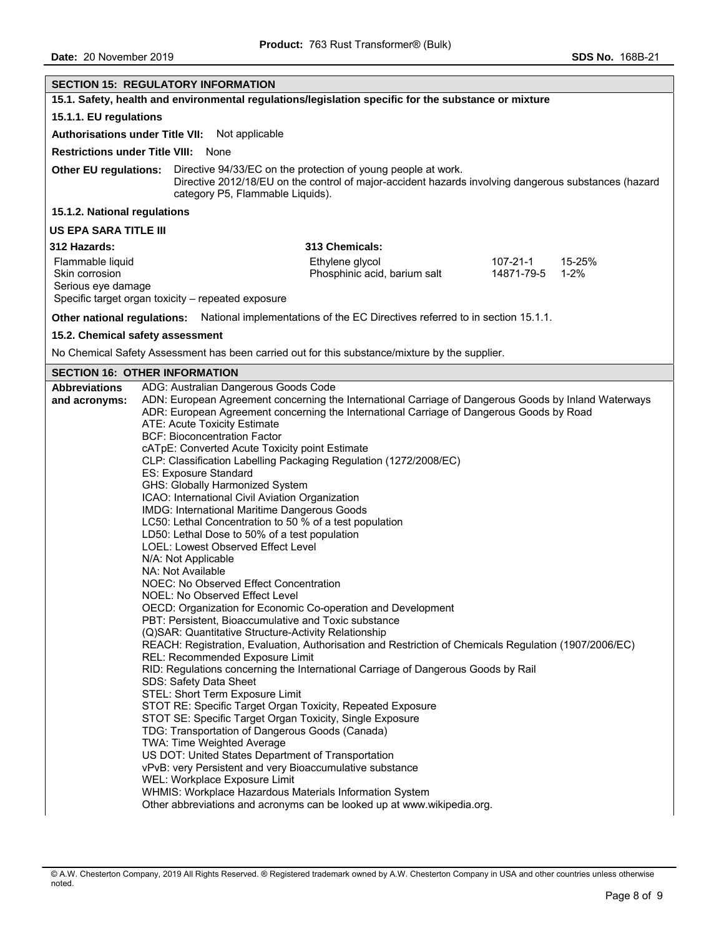| <b>SECTION 15: REGULATORY INFORMATION</b>                                                                                                                                                                                                                                                                                                                                                                                                                   |                                                                                                                                                                                                                                                                                                                                                                                                                                                                                                                                                                                                                                                                                                                                                                                                                                                                                                                                                                                                                                                                                                                                                                                                                                                                                                                                                                                                                                             |  |  |  |  |  |  |
|-------------------------------------------------------------------------------------------------------------------------------------------------------------------------------------------------------------------------------------------------------------------------------------------------------------------------------------------------------------------------------------------------------------------------------------------------------------|---------------------------------------------------------------------------------------------------------------------------------------------------------------------------------------------------------------------------------------------------------------------------------------------------------------------------------------------------------------------------------------------------------------------------------------------------------------------------------------------------------------------------------------------------------------------------------------------------------------------------------------------------------------------------------------------------------------------------------------------------------------------------------------------------------------------------------------------------------------------------------------------------------------------------------------------------------------------------------------------------------------------------------------------------------------------------------------------------------------------------------------------------------------------------------------------------------------------------------------------------------------------------------------------------------------------------------------------------------------------------------------------------------------------------------------------|--|--|--|--|--|--|
| 15.1. Safety, health and environmental regulations/legislation specific for the substance or mixture                                                                                                                                                                                                                                                                                                                                                        |                                                                                                                                                                                                                                                                                                                                                                                                                                                                                                                                                                                                                                                                                                                                                                                                                                                                                                                                                                                                                                                                                                                                                                                                                                                                                                                                                                                                                                             |  |  |  |  |  |  |
| 15.1.1. EU regulations                                                                                                                                                                                                                                                                                                                                                                                                                                      |                                                                                                                                                                                                                                                                                                                                                                                                                                                                                                                                                                                                                                                                                                                                                                                                                                                                                                                                                                                                                                                                                                                                                                                                                                                                                                                                                                                                                                             |  |  |  |  |  |  |
| Authorisations under Title VII: Not applicable                                                                                                                                                                                                                                                                                                                                                                                                              |                                                                                                                                                                                                                                                                                                                                                                                                                                                                                                                                                                                                                                                                                                                                                                                                                                                                                                                                                                                                                                                                                                                                                                                                                                                                                                                                                                                                                                             |  |  |  |  |  |  |
| <b>Restrictions under Title VIII: None</b>                                                                                                                                                                                                                                                                                                                                                                                                                  |                                                                                                                                                                                                                                                                                                                                                                                                                                                                                                                                                                                                                                                                                                                                                                                                                                                                                                                                                                                                                                                                                                                                                                                                                                                                                                                                                                                                                                             |  |  |  |  |  |  |
| Other EU regulations: Directive 94/33/EC on the protection of young people at work.<br>Directive 2012/18/EU on the control of major-accident hazards involving dangerous substances (hazard<br>category P5, Flammable Liquids).                                                                                                                                                                                                                             |                                                                                                                                                                                                                                                                                                                                                                                                                                                                                                                                                                                                                                                                                                                                                                                                                                                                                                                                                                                                                                                                                                                                                                                                                                                                                                                                                                                                                                             |  |  |  |  |  |  |
| 15.1.2. National regulations                                                                                                                                                                                                                                                                                                                                                                                                                                |                                                                                                                                                                                                                                                                                                                                                                                                                                                                                                                                                                                                                                                                                                                                                                                                                                                                                                                                                                                                                                                                                                                                                                                                                                                                                                                                                                                                                                             |  |  |  |  |  |  |
| US EPA SARA TITLE III                                                                                                                                                                                                                                                                                                                                                                                                                                       |                                                                                                                                                                                                                                                                                                                                                                                                                                                                                                                                                                                                                                                                                                                                                                                                                                                                                                                                                                                                                                                                                                                                                                                                                                                                                                                                                                                                                                             |  |  |  |  |  |  |
| 312 Hazards:                                                                                                                                                                                                                                                                                                                                                                                                                                                | 313 Chemicals:                                                                                                                                                                                                                                                                                                                                                                                                                                                                                                                                                                                                                                                                                                                                                                                                                                                                                                                                                                                                                                                                                                                                                                                                                                                                                                                                                                                                                              |  |  |  |  |  |  |
| Flammable liquid<br>Skin corrosion<br>Serious eye damage<br>Specific target organ toxicity - repeated exposure                                                                                                                                                                                                                                                                                                                                              | 107-21-1<br>15-25%<br>Ethylene glycol<br>14871-79-5<br>Phosphinic acid, barium salt<br>$1 - 2%$                                                                                                                                                                                                                                                                                                                                                                                                                                                                                                                                                                                                                                                                                                                                                                                                                                                                                                                                                                                                                                                                                                                                                                                                                                                                                                                                             |  |  |  |  |  |  |
|                                                                                                                                                                                                                                                                                                                                                                                                                                                             | Other national regulations: National implementations of the EC Directives referred to in section 15.1.1.                                                                                                                                                                                                                                                                                                                                                                                                                                                                                                                                                                                                                                                                                                                                                                                                                                                                                                                                                                                                                                                                                                                                                                                                                                                                                                                                    |  |  |  |  |  |  |
| 15.2. Chemical safety assessment                                                                                                                                                                                                                                                                                                                                                                                                                            |                                                                                                                                                                                                                                                                                                                                                                                                                                                                                                                                                                                                                                                                                                                                                                                                                                                                                                                                                                                                                                                                                                                                                                                                                                                                                                                                                                                                                                             |  |  |  |  |  |  |
|                                                                                                                                                                                                                                                                                                                                                                                                                                                             | No Chemical Safety Assessment has been carried out for this substance/mixture by the supplier.                                                                                                                                                                                                                                                                                                                                                                                                                                                                                                                                                                                                                                                                                                                                                                                                                                                                                                                                                                                                                                                                                                                                                                                                                                                                                                                                              |  |  |  |  |  |  |
| <b>SECTION 16: OTHER INFORMATION</b>                                                                                                                                                                                                                                                                                                                                                                                                                        |                                                                                                                                                                                                                                                                                                                                                                                                                                                                                                                                                                                                                                                                                                                                                                                                                                                                                                                                                                                                                                                                                                                                                                                                                                                                                                                                                                                                                                             |  |  |  |  |  |  |
| <b>Abbreviations</b><br>and acronyms:<br>ATE: Acute Toxicity Estimate<br><b>BCF: Bioconcentration Factor</b><br>ES: Exposure Standard<br>GHS: Globally Harmonized System<br>LOEL: Lowest Observed Effect Level<br>N/A: Not Applicable<br>NA: Not Available<br>NOEL: No Observed Effect Level<br>REL: Recommended Exposure Limit<br>SDS: Safety Data Sheet<br>STEL: Short Term Exposure Limit<br>TWA: Time Weighted Average<br>WEL: Workplace Exposure Limit | ADG: Australian Dangerous Goods Code<br>ADN: European Agreement concerning the International Carriage of Dangerous Goods by Inland Waterways<br>ADR: European Agreement concerning the International Carriage of Dangerous Goods by Road<br>cATpE: Converted Acute Toxicity point Estimate<br>CLP: Classification Labelling Packaging Regulation (1272/2008/EC)<br>ICAO: International Civil Aviation Organization<br>IMDG: International Maritime Dangerous Goods<br>LC50: Lethal Concentration to 50 % of a test population<br>LD50: Lethal Dose to 50% of a test population<br>NOEC: No Observed Effect Concentration<br>OECD: Organization for Economic Co-operation and Development<br>PBT: Persistent, Bioaccumulative and Toxic substance<br>(Q)SAR: Quantitative Structure-Activity Relationship<br>REACH: Registration, Evaluation, Authorisation and Restriction of Chemicals Regulation (1907/2006/EC)<br>RID: Regulations concerning the International Carriage of Dangerous Goods by Rail<br>STOT RE: Specific Target Organ Toxicity, Repeated Exposure<br>STOT SE: Specific Target Organ Toxicity, Single Exposure<br>TDG: Transportation of Dangerous Goods (Canada)<br>US DOT: United States Department of Transportation<br>vPvB: very Persistent and very Bioaccumulative substance<br>WHMIS: Workplace Hazardous Materials Information System<br>Other abbreviations and acronyms can be looked up at www.wikipedia.org. |  |  |  |  |  |  |